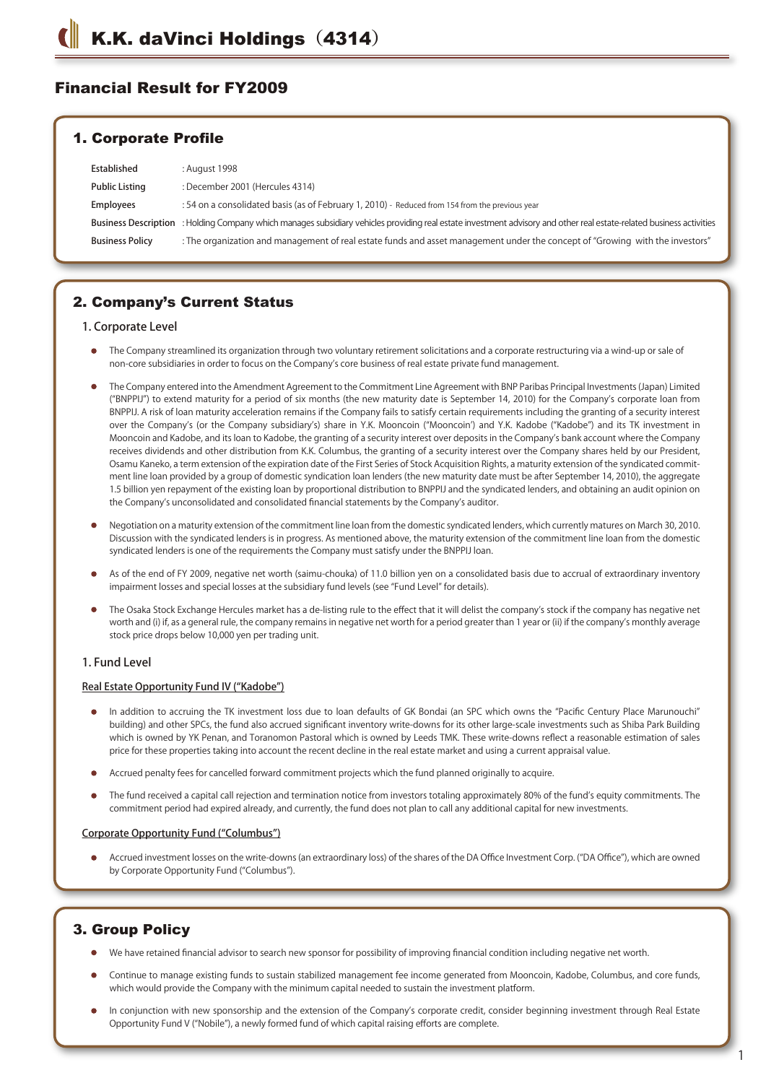# Financial Result for FY2009

## 1. Corporate Profile

| Established            | : August 1998                                                                                                                                                        |
|------------------------|----------------------------------------------------------------------------------------------------------------------------------------------------------------------|
| <b>Public Listing</b>  | : December 2001 (Hercules 4314)                                                                                                                                      |
| <b>Employees</b>       | : 54 on a consolidated basis (as of February 1, 2010) - Reduced from 154 from the previous year                                                                      |
|                        | Business Description : Holding Company which manages subsidiary vehicles providing real estate investment advisory and other real estate-related business activities |
| <b>Business Policy</b> | : The organization and management of real estate funds and asset management under the concept of "Growing with the investors"                                        |

# 2. Company's Current Status

### 1. Corporate Level

- The Company streamlined its organization through two voluntary retirement solicitations and a corporate restructuring via a wind-up or sale of non-core subsidiaries in order to focus on the Company's core business of real estate private fund management.
- The Company entered into the Amendment Agreement to the Commitment Line Agreement with BNP Paribas Principal Investments (Japan) Limited ("BNPPIJ") to extend maturity for a period of six months (the new maturity date is September 14, 2010) for the Company's corporate loan from BNPPIJ. A risk of loan maturity acceleration remains if the Company fails to satisfy certain requirements including the granting of a security interest over the Company's (or the Company subsidiary's) share in Y.K. Mooncoin ("Mooncoin') and Y.K. Kadobe ("Kadobe") and its TK investment in Mooncoin and Kadobe, and its loan to Kadobe, the granting of a security interest over deposits in the Company's bank account where the Company receives dividends and other distribution from K.K. Columbus, the granting of a security interest over the Company shares held by our President, Osamu Kaneko, a term extension of the expiration date of the First Series of Stock Acquisition Rights, a maturity extension of the syndicated commitment line loan provided by a group of domestic syndication loan lenders (the new maturity date must be after September 14, 2010), the aggregate 1.5 billion yen repayment of the existing loan by proportional distribution to BNPPIJ and the syndicated lenders, and obtaining an audit opinion on the Company's unconsolidated and consolidated financial statements by the Company's auditor.
- Negotiation on a maturity extension of the commitment line loan from the domestic syndicated lenders, which currently matures on March 30, 2010. Discussion with the syndicated lenders is in progress. As mentioned above, the maturity extension of the commitment line loan from the domestic syndicated lenders is one of the requirements the Company must satisfy under the BNPPIJ loan.
- As of the end of FY 2009, negative net worth (saimu-chouka) of 11.0 billion yen on a consolidated basis due to accrual of extraordinary inventory impairment losses and special losses at the subsidiary fund levels (see "Fund Level" for details).
- The Osaka Stock Exchange Hercules market has a de-listing rule to the effect that it will delist the company's stock if the company has negative net worth and (i) if, as a general rule, the company remains in negative net worth for a period greater than 1 year or (ii) if the company's monthly average stock price drops below 10,000 yen per trading unit.

### 1. Fund Level

#### Real Estate Opportunity Fund IV ("Kadobe")

- In addition to accruing the TK investment loss due to loan defaults of GK Bondai (an SPC which owns the "Pacific Century Place Marunouchi" building) and other SPCs, the fund also accrued significant inventory write-downs for its other large-scale investments such as Shiba Park Building which is owned by YK Penan, and Toranomon Pastoral which is owned by Leeds TMK. These write-downs reflect a reasonable estimation of sales price for these properties taking into account the recent decline in the real estate market and using a current appraisal value.
- Accrued penalty fees for cancelled forward commitment projects which the fund planned originally to acquire.
- The fund received a capital call rejection and termination notice from investors totaling approximately 80% of the fund's equity commitments. The commitment period had expired already, and currently, the fund does not plan to call any additional capital for new investments.

#### Corporate Opportunity Fund ("Columbus")

Accrued investment losses on the write-downs (an extraordinary loss) of the shares of the DA Office Investment Corp. ("DA Office"), which are owned by Corporate Opportunity Fund ("Columbus").

## 3. Group Policy

- We have retained financial advisor to search new sponsor for possibility of improving financial condition including negative net worth.
- Continue to manage existing funds to sustain stabilized management fee income generated from Mooncoin, Kadobe, Columbus, and core funds, which would provide the Company with the minimum capital needed to sustain the investment platform.
- In conjunction with new sponsorship and the extension of the Company's corporate credit, consider beginning investment through Real Estate Opportunity Fund V ("Nobile"), a newly formed fund of which capital raising efforts are complete.